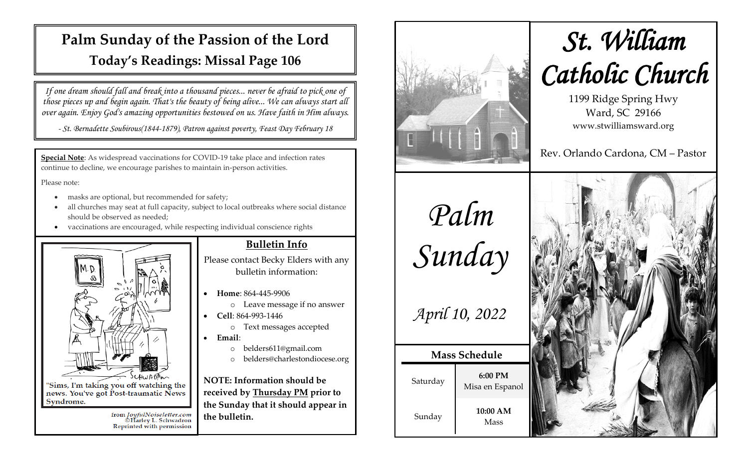## **Palm Sunday of the Passion of the Lord Today's Readings: Missal Page 106**

*If one dream should fall and break into a thousand pieces... never be afraid to pick one of those pieces up and begin again. That's the beauty of being alive... We can always start all over again. Enjoy God's amazing opportunities bestowed on us. Have faith in Him always.*

*- St. Bernadette Soubirous(1844-1879), Patron against poverty, Feast Day February 18*

**Special Note**: As widespread vaccinations for COVID-19 take place and infection rates continue to decline, we encourage parishes to maintain in-person activities.

Please note:

Syndrome.

masks are optional, but recommended for safety;

from *JoyfulNoiseletter.com*<br>©Harley L. Schwadron<br>Reprinted with permission

- all churches may seat at full capacity, subject to local outbreaks where social distance should be observed as needed;
- vaccinations are encouraged, while respecting individual conscience rights



### **Bulletin Info**

Please contact Becky Elders with any bulletin information:

- **Home**: 864-445-9906
	- o Leave message if no answer
- **Cell**: 864-993-1446
	- o Text messages accepted
- **Email**:
	- o belders611@gmail.com
	- o belders@charlestondiocese.org

**NOTE: Information should be received by Thursday PM prior to the Sunday that it should appear in the bulletin.**